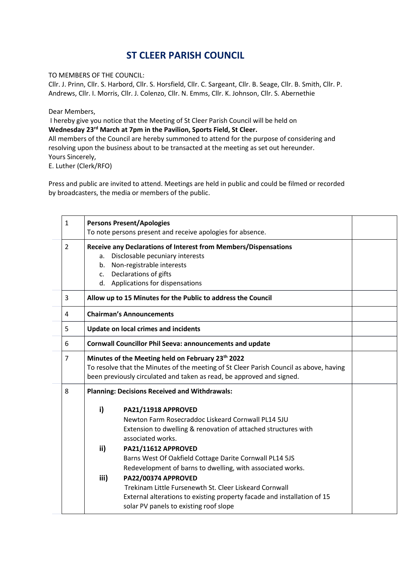## **ST CLEER PARISH COUNCIL**

TO MEMBERS OF THE COUNCIL:

Cllr. J. Prinn, Cllr. S. Harbord, Cllr. S. Horsfield, Cllr. C. Sargeant, Cllr. B. Seage, Cllr. B. Smith, Cllr. P. Andrews, Cllr. I. Morris, Cllr. J. Colenzo, Cllr. N. Emms, Cllr. K. Johnson, Cllr. S. Abernethie

Dear Members,

I hereby give you notice that the Meeting of St Cleer Parish Council will be held on **Wednesday 23 rd March at 7pm in the Pavilion, Sports Field, St Cleer.**

All members of the Council are hereby summoned to attend for the purpose of considering and resolving upon the business about to be transacted at the meeting as set out hereunder. Yours Sincerely,

E. Luther (Clerk/RFO)

Press and public are invited to attend. Meetings are held in public and could be filmed or recorded by broadcasters, the media or members of the public.

| $\mathbf{1}$   | <b>Persons Present/Apologies</b>                                                                                                                                                                                     | To note persons present and receive apologies for absence.                                                                                                                                         |  |
|----------------|----------------------------------------------------------------------------------------------------------------------------------------------------------------------------------------------------------------------|----------------------------------------------------------------------------------------------------------------------------------------------------------------------------------------------------|--|
| $\overline{2}$ | a.<br>b.<br>c. Declarations of gifts                                                                                                                                                                                 | Receive any Declarations of Interest from Members/Dispensations<br>Disclosable pecuniary interests<br>Non-registrable interests<br>d. Applications for dispensations                               |  |
| 3              | Allow up to 15 Minutes for the Public to address the Council                                                                                                                                                         |                                                                                                                                                                                                    |  |
| 4              | <b>Chairman's Announcements</b>                                                                                                                                                                                      |                                                                                                                                                                                                    |  |
| 5              | <b>Update on local crimes and incidents</b>                                                                                                                                                                          |                                                                                                                                                                                                    |  |
| 6              | <b>Cornwall Councillor Phil Seeva: announcements and update</b>                                                                                                                                                      |                                                                                                                                                                                                    |  |
| $\overline{7}$ | Minutes of the Meeting held on February 23th 2022<br>To resolve that the Minutes of the meeting of St Cleer Parish Council as above, having<br>been previously circulated and taken as read, be approved and signed. |                                                                                                                                                                                                    |  |
| 8              | <b>Planning: Decisions Received and Withdrawals:</b>                                                                                                                                                                 |                                                                                                                                                                                                    |  |
|                | i)                                                                                                                                                                                                                   | PA21/11918 APPROVED<br>Newton Farm Rosecraddoc Liskeard Cornwall PL14 5JU<br>Extension to dwelling & renovation of attached structures with<br>associated works.                                   |  |
|                | ii)                                                                                                                                                                                                                  | PA21/11612 APPROVED<br>Barns West Of Oakfield Cottage Darite Cornwall PL14 5JS<br>Redevelopment of barns to dwelling, with associated works.                                                       |  |
|                | iii)                                                                                                                                                                                                                 | PA22/00374 APPROVED<br>Trekinam Little Fursenewth St. Cleer Liskeard Cornwall<br>External alterations to existing property facade and installation of 15<br>solar PV panels to existing roof slope |  |